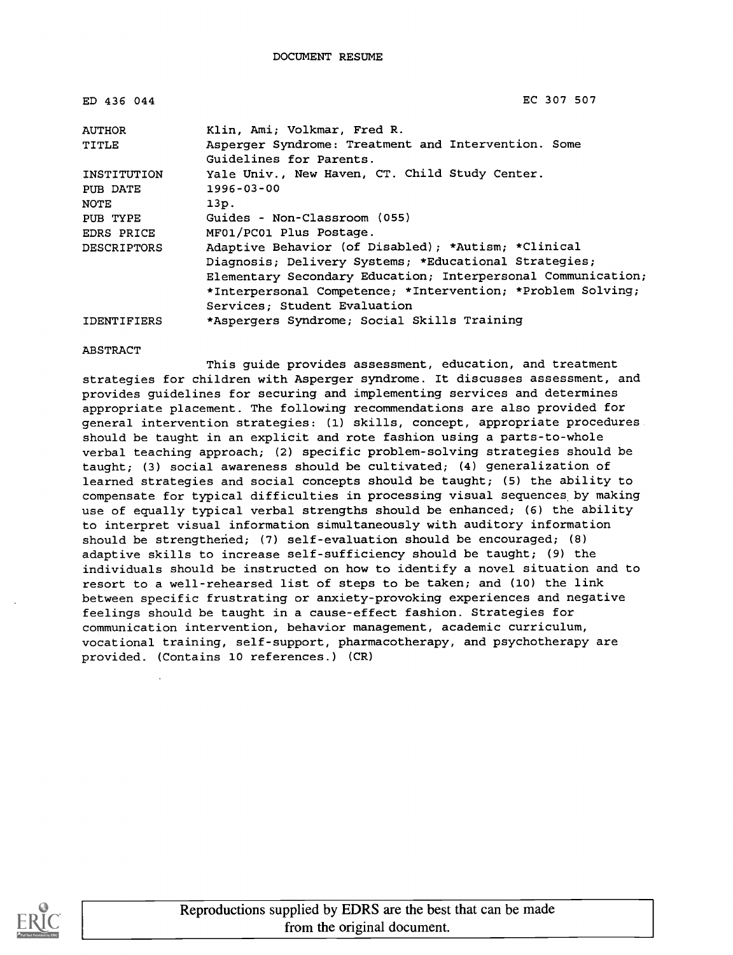| ED 436 044         | EC 307 507                                                   |
|--------------------|--------------------------------------------------------------|
| <b>AUTHOR</b>      | Klin, Ami; Volkmar, Fred R.                                  |
| TITLE              | Asperger Syndrome: Treatment and Intervention. Some          |
|                    | Guidelines for Parents.                                      |
| INSTITUTION        | Yale Univ., New Haven, CT. Child Study Center.               |
| PUB DATE           | $1996 - 03 - 00$                                             |
| NOTE               | 13p.                                                         |
| PUB TYPE           | Guides - Non-Classroom (055)                                 |
| EDRS PRICE         | MF01/PC01 Plus Postage.                                      |
| <b>DESCRIPTORS</b> | Adaptive Behavior (of Disabled); *Autism; *Clinical          |
|                    | Diagnosis; Delivery Systems; *Educational Strategies;        |
|                    | Elementary Secondary Education; Interpersonal Communication; |
|                    | *Interpersonal Competence; *Intervention; *Problem Solving;  |
|                    | Services: Student Evaluation                                 |
| <b>IDENTIFIERS</b> | *Aspergers Syndrome; Social Skills Training                  |

### ABSTRACT

This guide provides assessment, education, and treatment strategies for children with Asperger syndrome. It discusses assessment, and provides guidelines for securing and implementing services and determines appropriate placement. The following recommendations are also provided for general intervention strategies: (1) skills, concept, appropriate procedures should be taught in an explicit and rote fashion using a parts-to-whole verbal teaching approach; (2) specific problem-solving strategies should be taught; (3) social awareness should be cultivated; (4) generalization of learned strategies and social concepts should be taught; (5) the ability to compensate for typical difficulties in processing visual sequences by making use of equally typical verbal strengths should be enhanced; (6) the ability to interpret visual information simultaneously with auditory information should be strengthened; (7) self-evaluation should be encouraged; (8) adaptive skills to increase self-sufficiency should be taught; (9) the individuals should be instructed on how to identify a novel situation and to resort to a well-rehearsed list of steps to be taken; and (10) the link between specific frustrating or anxiety-provoking experiences and negative feelings should be taught in a cause-effect fashion. Strategies for communication intervention, behavior management, academic curriculum, vocational training, self-support, pharmacotherapy, and psychotherapy are provided. (Contains 10 references.) (CR)

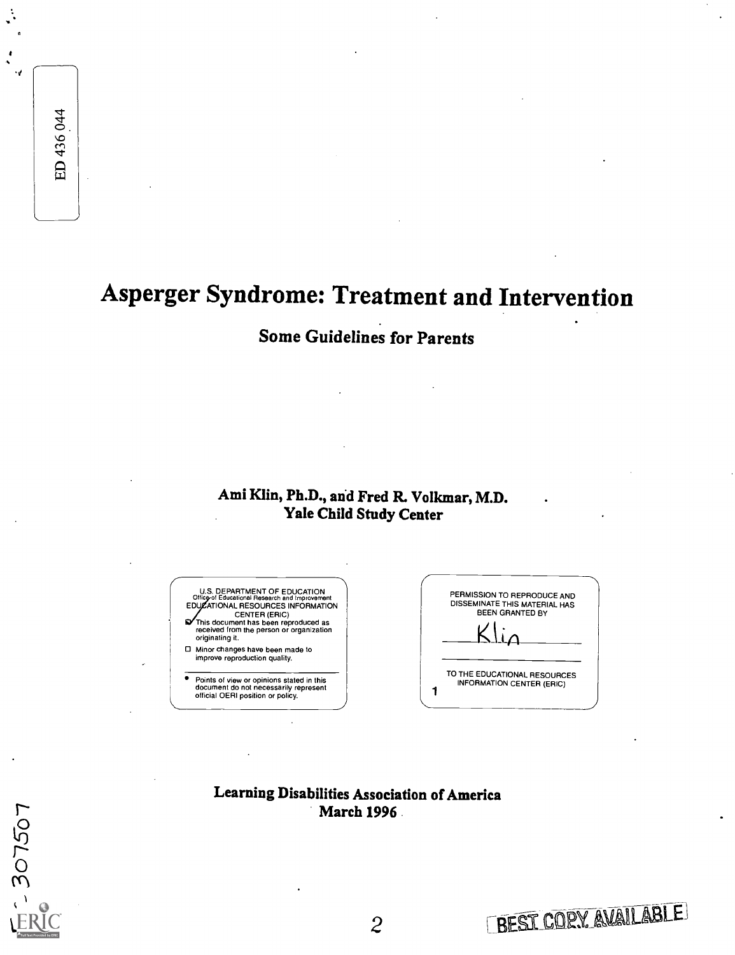ED 436 044

# Asperger Syndrome: Treatment and Intervention

# Some Guidelines for Parents

## Ami Klin, Ph.D., and Fred R. Volkmar, M.D. Yale Child Study Center



| PERMISSION TO REPRODUCE AND<br>DISSEMINATE THIS MATERIAL HAS<br><b>BEEN GRANTED BY</b> |  |
|----------------------------------------------------------------------------------------|--|
| TO THE EDUCATIONAL RESOURCES<br>INFORMATION CENTER (ERIC)                              |  |

Learning Disabilities Association of America March 1996



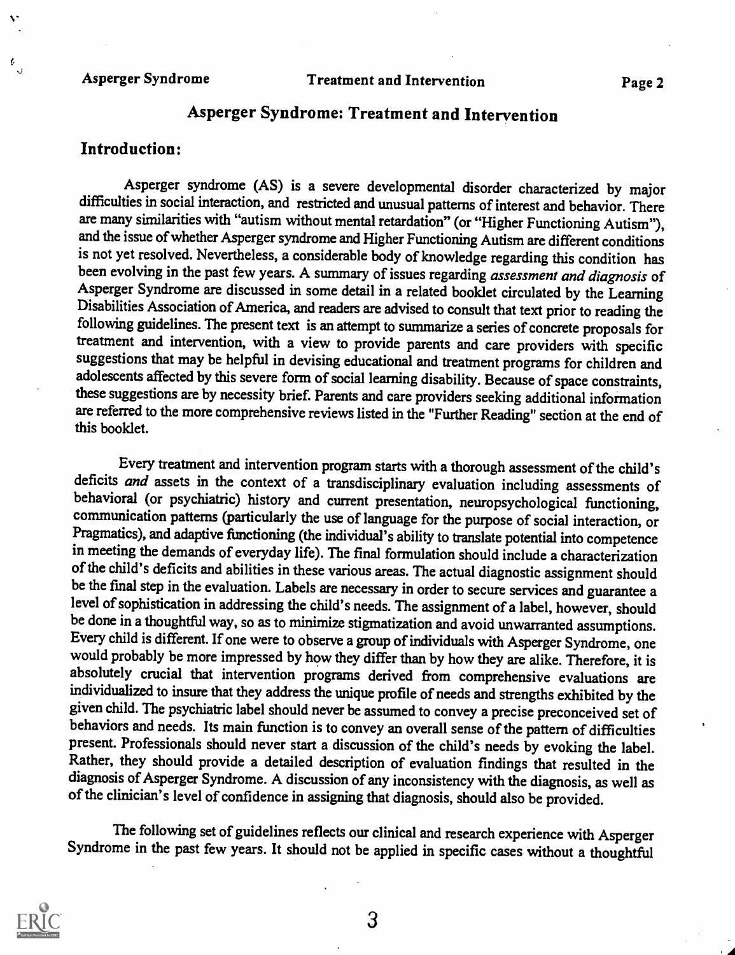### Asperger Syndrome

# Asperger Syndrome: Treatment and Intervention

### Introduction:

¢.

Asperger syndrome (AS) is a severe developmental disorder characterized by major difficulties in social interaction, and restricted and unusual patterns of interest and behavior. There are many similarities with "autism without mental retardation" (or "Higher Functioning Autism"), and the issue of whether Asperger syndrome and Higher Functioning Autism are different conditions is not yet resolved. Nevertheless, a considerable body of knowledge regarding this condition has been evolving in the past few years. A summary of issues regarding assessment and diagnosis of Asperger Syndrome are discussed in some detail in a related booklet circulated by the Learning Disabilities Association of America, and readers are advised to consult that text prior to reading the following guidelines. The present text is an attempt to summarize a series of concrete proposals for treatment and intervention, with a view to provide parents and care providers with specific suggestions that may be helpful in devising educational and treatment programs for children and adolescents affected by this severe form of social learning disability. Because of space constraints, these suggestions are by necessity brief. Parents and care providers seeking additional information are referred to the more comprehensive reviews listed in the "Further Reading" section at the end of this booklet.

Every treatment and intervention program starts with a thorough assessment of the child's deficits *and* assets in the context of a transdisciplinary evaluation including assessments of behavioral (or psychiatric) history and current presentation, neuropsychological functioning, communication patterns (particularly the use of language for the purpose of social interaction, or Pragmatics), and adaptive functioning (the individual's ability to translate potential into competence in meeting the demands of everyday life). The final formulation should include a characterization of the child's deficits and abilities in these various areas. The actual diagnostic assignment should be the final step in the evaluation. Labels are necessary in order to secure services and guarantee a level of sophistication in addressing the child's needs. The assignment of a label, however, should be done in a thoughtful way, so as to minimize stigmatization and avoid unwarranted assumptions. Every child is different. If one were to observe a group of individuals with Asperger Syndrome, one would probably be more impressed by how they differ than by how they are alike. Therefore, it is absolutely crucial that intervention programs derived from comprehensive evaluations are individualized to insure that they address the unique profile of needs and strengths exhibited by the given child. The psychiatric label should never be assumed to convey a precise preconceived set of behaviors and needs. Its main function is to convey an overall sense of the pattern of difficulties present. Professionals should never start a discussion of the child's needs by evoking the label. Rather, they should provide a detailed description of evaluation findings that resulted in the diagnosis of Asperger Syndrome. A discussion of any inconsistency with the diagnosis, as well as of the clinician's level of confidence in assigning that diagnosis, should also be provided.

The following set of guidelines reflects our clinical and research experience with Asperger Syndrome in the past few years. It should not be applied in specific cases without a thoughtful

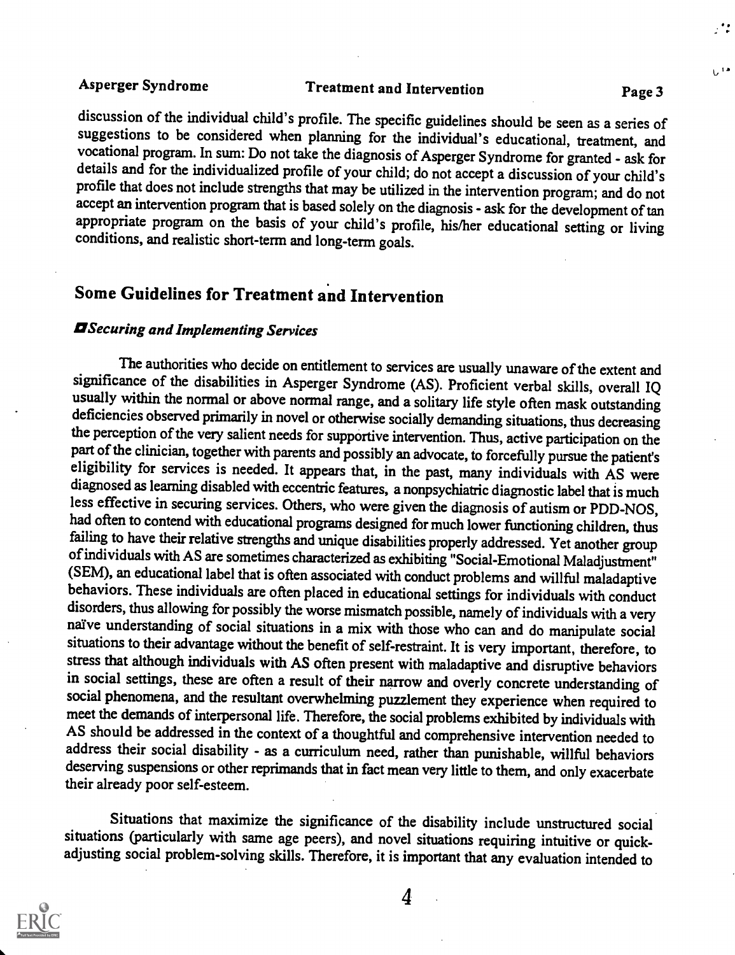∴\*:

U<sup>ia</sup>

discussion of the individual child's profile. The specific guidelines should be seen as a series of suggestions to be considered when planning for the individual's educational, treatment, and vocational program. In sum: Do not take the diagnosis of Asperger Syndrome for granted - ask for details and for the individualized profile of your child; do not accept a discussion of your child's profile that does not include strengths that may be utilized in the intervention program; and do not accept an intervention program that is based solely on the diagnosis - ask for the development of tan appropriate program on the basis of your child's profile, his/her educational setting or living conditions, and realistic short-term and long-term goals.

# Some Guidelines for Treatment and Intervention

### **EI** Securing and Implementing Services

The authorities who decide on entitlement to services are usually unaware of the extent and significance of the disabilities in Asperger Syndrome (AS). Proficient verbal skills, overall IQ usually within the normal or above normal range, and a solitary life style often mask outstanding deficiencies observed primarily in novel or otherwise socially demanding situations, thus decreasing the perception of the very salient needs for supportive intervention. Thus, active participation on the part of the clinician, together with parents and possibly an advocate, to forcefully pursue the patient's eligibility for services is needed. It appears that, in the past, many individuals with AS were diagnosed as learning disabled with eccentric features, a nonpsychiatric diagnostic label that is much less effective in securing services. Others, who were given the diagnosis of autism or PDD-NOS, had often to contend with educational programs designed for much lower functioning children, thus failing to have their relative strengths and unique disabilities properly addressed. Yet another group of individuals with AS are sometimes characterized as exhibiting "Social-Emotional Maladjustment"<br>(SEM), an educational label that is often associated with conduct problems and willful maladaptive behaviors. These individuals are often placed in educational settings for individuals with conduct disorders, thus allowing for possibly the worse mismatch possible, namely of individuals with a very naïve understanding of social situations in a mix with those who can and do manipulate social situations to their advantage without the benefit of self-restraint. It is very important, therefore, to stress that although individuals with AS often present with maladaptive and disruptive behaviors in social settings, these are often a result of their narrow and overly concrete understanding of social phenomena, and the resultant overwhelming puzzlement they experience when required to meet the demands of interpersonal life. Therefore, the social problems exhibited by individuals with AS should be addressed in the context of a thoughtful and comprehensive intervention needed to address their social disability - as a curriculum need, rather than punishable, willful behaviors deserving suspensions or other reprimands that in fact mean very little to them, and only exacerbate their already poor self-esteem.

Situations that maximize the significance of the disability include unstructured social situations (particularly with same age peers), and novel situations requiring intuitive or quickadjusting social problem-solving skills. Therefore, it is important that any evaluation intended to



4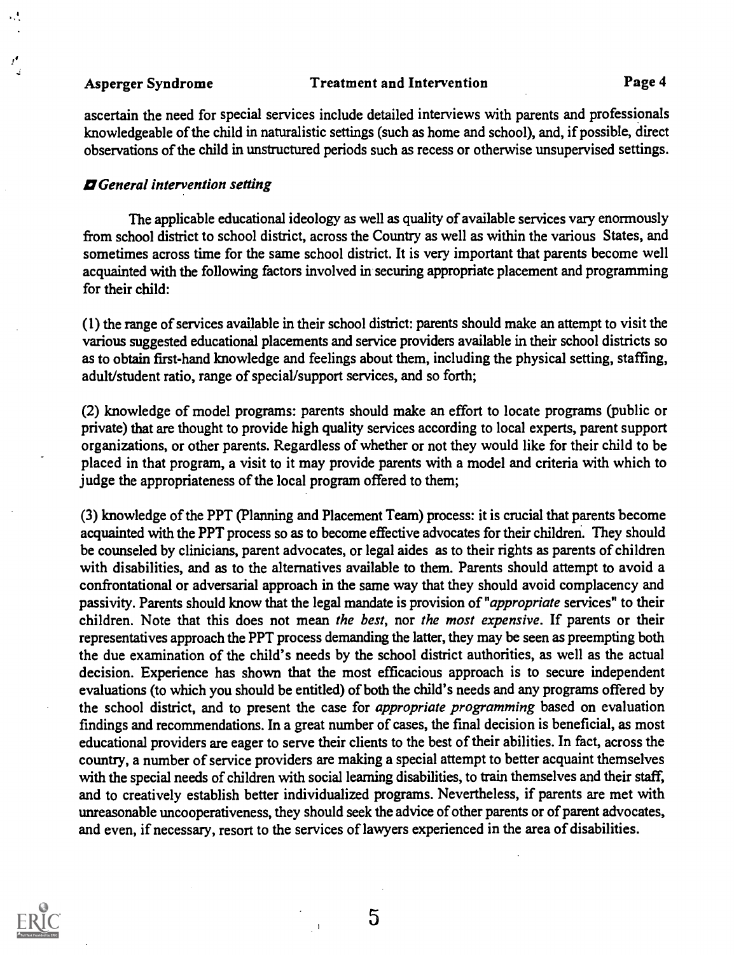$\mathcal{A}$ 

 $\cdot$ 

### Asperger Syndrome Treatment and Intervention Page 4

ascertain the need for special services include detailed interviews with parents and professionals knowledgeable of the child in naturalistic settings (such as home and school), and, if possible, direct observations of the child in unstructured periods such as recess or otherwise unsupervised settings.

### *¤* General intervention setting

The applicable educational ideology as well as quality of available services vary enormously from school district to school district, across the Country as well as within the various States, and sometimes across time for the same school district. It is very important that parents become well acquainted with the following factors involved in securing appropriate placement and programming for their child:

(1) the range of services available in their school district: parents should make an attempt to visit the various suggested educational placements and service providers available in their school districts so as to obtain first-hand knowledge and feelings about them, including the physical setting, staffing, adult/student ratio, range of special/support services, and so forth;

(2) knowledge of model programs: parents should make an effort to locate programs (public or private) that are thought to provide high quality services according to local experts, parent support organizations, or other parents. Regardless of whether or not they would like for their child to be placed in that program, a visit to it may provide parents with a model and criteria with which to judge the appropriateness of the local program offered to them;

(3) knowledge of the PPT (Planning and Placement Team) process: it is crucial that parents become acquainted with the PPT process so as to become effective advocates for their children. They should be counseled by clinicians, parent advocates, or legal aides as to their rights as parents of children with disabilities, and as to the alternatives available to them. Parents should attempt to avoid a confrontational or adversarial approach in the same way that they should avoid complacency and passivity. Parents should know that the legal mandate is provision of "appropriate services" to their children. Note that this does not mean the best, nor the most expensive. If parents or their representatives approach the PPT process demanding the latter, they may be seen as preempting both the due examination of the child's needs by the school district authorities, as well as the actual decision. Experience has shown that the most efficacious approach is to secure independent evaluations (to which you should be entitled) of both the child's needs and any programs offered by the school district, and to present the case for appropriate programming based on evaluation findings and recommendations. In a great number of cases, the final decision is beneficial, as most educational providers are eager to serve their clients to the best of their abilities. In fact, across the country, a number of service providers are making a special attempt to better acquaint themselves with the special needs of children with social learning disabilities, to train themselves and their staff, and to creatively establish better individualized programs. Nevertheless, if parents are met with unreasonable uncooperativeness, they should seek the advice of other parents or of parent advocates, and even, if necessary, resort to the services of lawyers experienced in the area of disabilities.

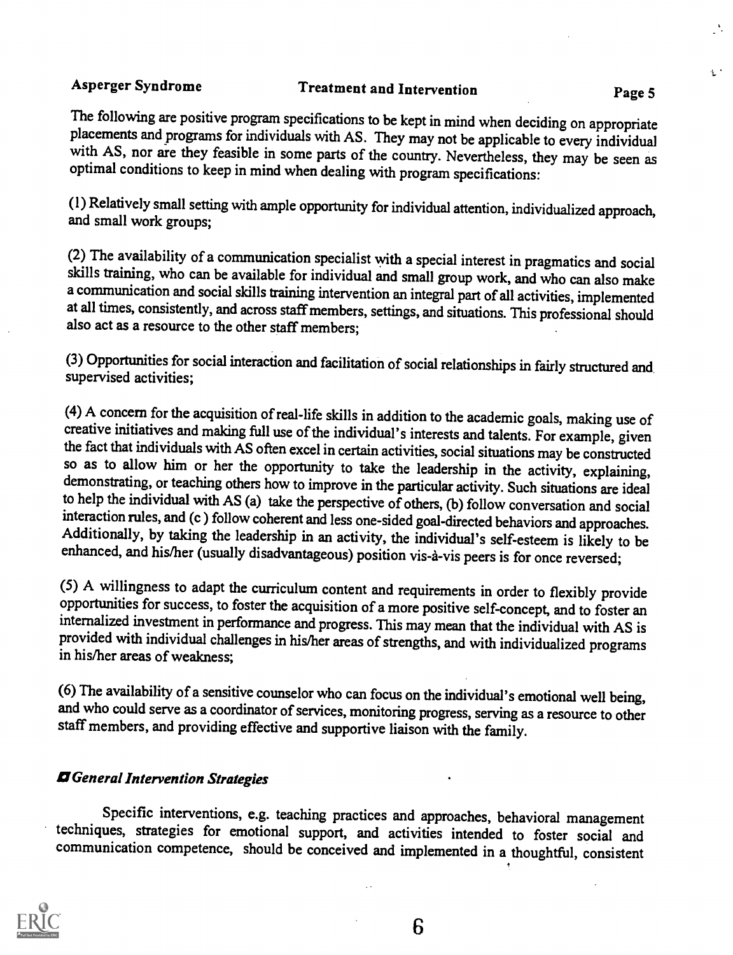$\mathbf{t}$  :

The following are positive program specifications to be kept in mind when deciding on appropriate placements and programs for individuals with AS. They may not be applicable to every individual with AS, nor are they feasib

(1) Relatively small setting with ample opportunity for individual attention, individualized approach, and small work groups;

(2) The availability of a communication specialist with a special interest in pragmatics and social skills training, who can be available for individual and small group work, and who can also make a communication and social skills training intervention an integral part of all activities, implemented at all times, consistently, and across staff members, settings, and situations. This professional should also act as a resource to the other staff members;

(3) Opportunities for social interaction and facilitation of social relationships in fairly structured and supervised activities;

(4) A concern for the acquisition of real-life skills in addition to the academic goals, making use of creative initiatives and making full use of the individual's interests and talents. For example, given the fact that individuals with  $\overline{AS}$  often excel in certain activities, social situations may be constructed so as to allow him or her the opportunity to take the leadership in the activity, explaining, demonstrating, or teaching others how to improve in the particular activity. Such situations are ideal to help the individual with AS (a) take the perspective of others, (b) follow conversation and social interaction rules, and (c) follow coherent and less one-sided goal-directed behaviors and approaches. Additionally, by taking the leadership in an activity, the individual's self-esteem is likely to be enhanced, and his/her (usually disadvantageous) position vis-a-vis peers is for once reversed;

(5) A willingness to adapt the curriculum content and requirements in order to flexibly provide opportunities for success, to foster the acquisition of a more positive self-concept, and to foster an internalized investment in performance and progress. This may mean that the individual with AS is provided with individual challenges in his/her areas of strengths, and with individualized programs in his/her areas of weakness;

(6) The availability of a sensitive counselor who can focus on the individual's emotional well being, and who could serve as a coordinator of services, monitoring progress, serving as a resource to other staff members, and providing effective and supportive liaison with the family.

### **D** General Intervention Strategies

Specific interventions, e.g. teaching practices and approaches, behavioral management techniques, strategies for emotional support, and activities intended to foster social and communication competence, should be conceived and implemented in a thoughtful, consistent



6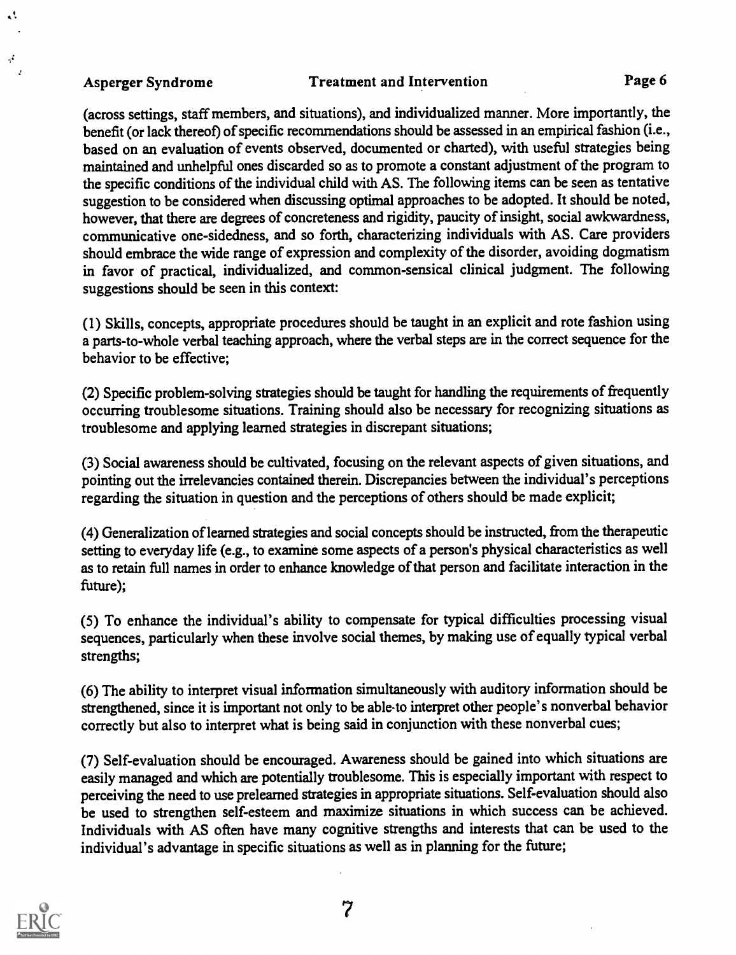$\ddot{\phantom{a}}$ 

 $\boldsymbol{\beta}^{\prime}$  $\overline{I}$ 

Asperger Syndrome Treatment and Intervention Page 6

(across settings, staff members, and situations), and individualized manner. More importantly, the benefit (or lack thereof) of specific recommendations should be assessed in an empirical fashion (i.e., based on an evaluation of events observed, documented or charted), with useful strategies being maintained and unhelpful ones discarded so as to promote a constant adjustment of the program to the specific conditions of the individual child with AS. The following items can be seen as tentative suggestion to be considered when discussing optimal approaches to be adopted. It should be noted, however, that there are degrees of concreteness and rigidity, paucity of insight, social awkwardness, communicative one-sidedness, and so forth, characterizing individuals with AS. Care providers should embrace the wide range of expression and complexity of the disorder, avoiding dogmatism in favor of practical, individualized, and common-sensical clinical judgment. The following suggestions should be seen in this context:

(1) Skills, concepts, appropriate procedures should be taught in an explicit and rote fashion using a parts-to-whole verbal teaching approach, where the verbal steps are in the correct sequence for the behavior to be effective;

(2) Specific problem-solving strategies should be taught for handling the requirements of frequently occurring troublesome situations. Training should also be necessary for recognizing situations as troublesome and applying learned strategies in discrepant situations;

(3) Social awareness should be cultivated, focusing on the relevant aspects of given situations, and pointing out the irrelevancies contained therein. Discrepancies between the individual's perceptions regarding the situation in question and the perceptions of others should be made explicit;

(4) Generalization of learned strategies and social concepts should be instructed, from the therapeutic setting to everyday life (e.g., to examine some aspects of a person's physical characteristics as well as to retain full names in order to enhance knowledge of that person and facilitate interaction in the future);

(5) To enhance the individual's ability to compensate for typical difficulties processing visual sequences, particularly when these involve social themes, by making use of equally typical verbal strengths;

(6) The ability to interpret visual information simultaneously with auditory information should be strengthened, since it is important not only to be able-to interpret other people's nonverbal behavior correctly but also to interpret what is being said in conjunction with these nonverbal cues;

(7) Self-evaluation should be encouraged. Awareness should be gained into which situations are easily managed and which are potentially troublesome. This is especially important with respect to perceiving the need to use prelearned strategies in appropriate situations. Self-evaluation should also be used to strengthen self-esteem and maximize situations in which success can be achieved. Individuals with AS often have many cognitive strengths and interests that can be used to the individual's advantage in specific situations as well as in planning for the future;

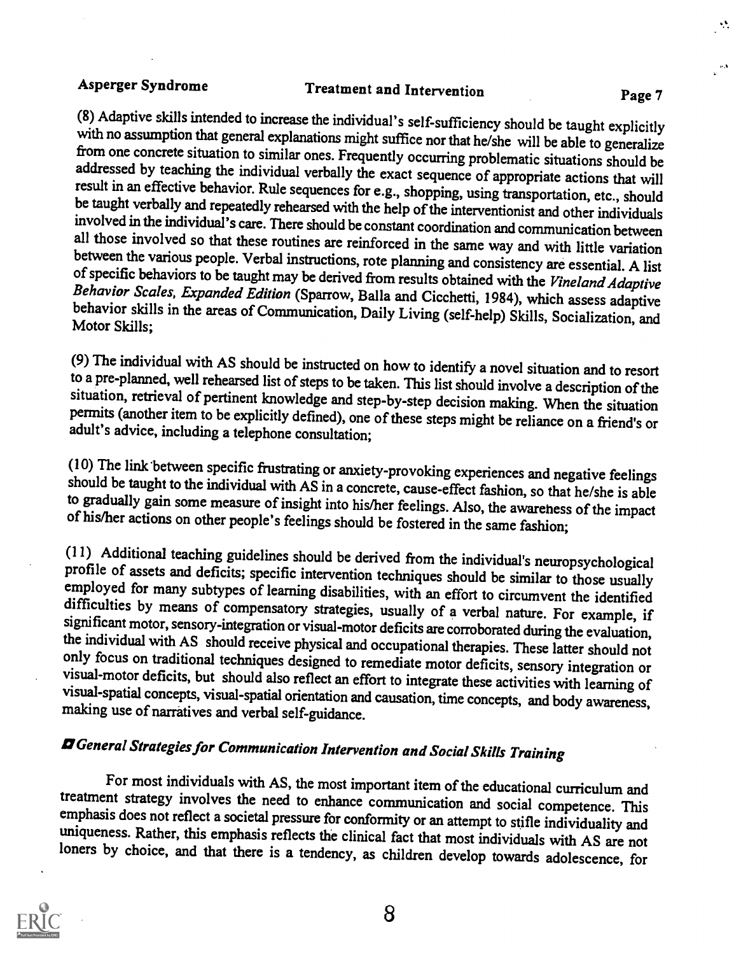Asperger Syndrome Treatment and Intervention Page 7<br>(8) Adaptive skills intended to increase the individual's self-sufficiency should be taught explicitly with no assumption that general explanations might suffice nor that he/she will be able to generalize from one concrete situation to similar ones. Frequently occurring problematic situations should be addressed by teaching the individual verbally the exact sequence of appropriate actions that will<br>result in an effective behavior. Rule sequences for e.g., shopping, using transportation, etc., should<br>be taught verbally an of specific behaviors to be taught may be derived from results obtained with the Vineland Adaptive Behavior Scales, Expanded Edition (Sparrow, Balla and Cicchetti, 1984), which assess adaptive behavior skills in the areas

(9) The individual with AS should be instructed on how to identify a novel situation and to resort to a pre-planned, well rehearsed list of steps to be taken. This list should involve a description of the situation, retrie

(10) The link between specific frustrating or anxiety-provoking experiences and negative feelings should be taught to the individual with AS in a concrete, cause-effect fashion, so that he/she is able to gradually gain som

(11) Additional teaching guidelines should be derived from the individual's neuropsychological<br>profile of assets and deficits; specific intervention techniques should be similar to those usually<br>employed for many subtypes

# **El** General Strategies for Communication Intervention and Social Skills Training

For most individuals with AS, the most important item of the educational curriculum and<br>treatment strategy involves the need to enhance communication and social competence. This<br>emphasis does not reflect a societal pressur

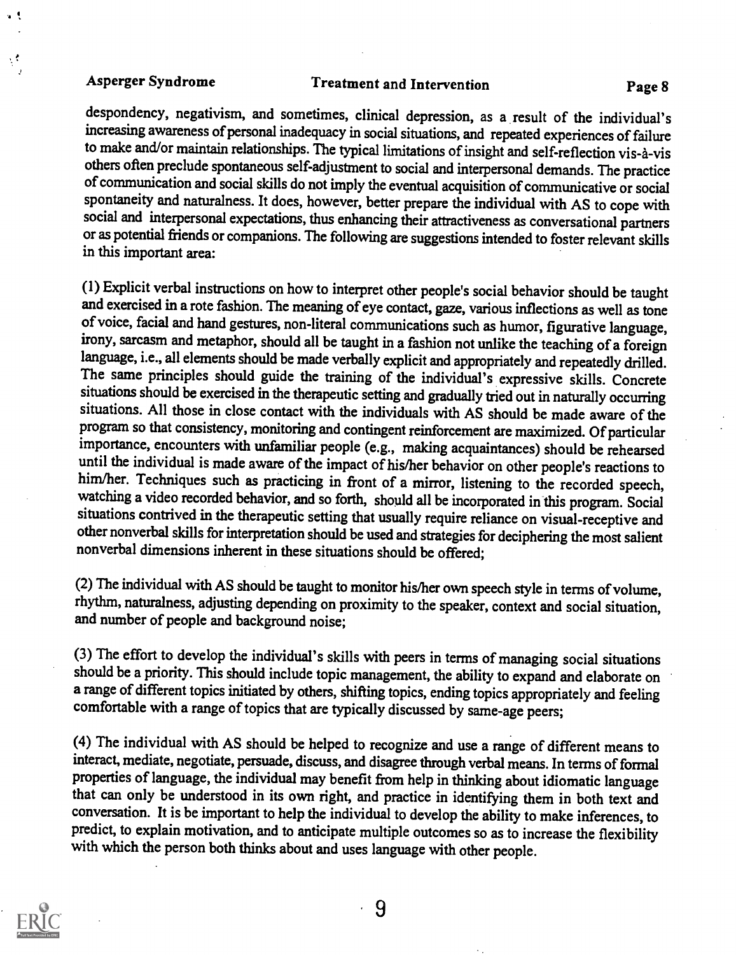$\mathbf{v}$ 

 $\mathcal{C}$ 

## Asperger Syndrome Treatment and Intervention Page 8

despondency, negativism, and sometimes, clinical depression, as a result of the individual's increasing awareness of personal inadequacy in social situations, and repeated experiences of failure to make and/or maintain relationships. The typical limitations of insight and self-reflection vis-à-vis others often preclude spontaneous self-adjustment to social and interpersonal demands. The practice of communication and social skills do not imply the eventual acquisition of communicative or social spontaneity and naturalness. It does, however, better prepare the individual with AS to cope with social and interpersonal expectations, thus enhancing their attractiveness as conversational partners or as potential friends or companions. The following are suggestions intended to foster relevant skills in this important area:

(1) Explicit verbal instructions on how to interpret other people's social behavior should be taught and exercised in a rote fashion. The meaning of eye contact, gaze, various inflections as well as tone of voice, facial and hand gestures, non-literal communications such as humor, figurative language, irony, sarcasm and metaphor, should all be taught in a fashion not unlike the teaching of a foreign language, i.e., all elements should be made verbally explicit and appropriately and repeatedly drilled. The same principles should guide the training of the individual's expressive skills. Concrete situations should be exercised in the therapeutic setting and gradually tried out in naturally occurring situations. All those in close contact with the individuals with AS should be made aware of the program so that consistency, monitoring and contingent reinforcement are maximized. Of particular importance, encounters with unfamiliar people (e.g., making acquaintances) should be rehearsed<br>until the individual is made aware of the impact of his/her behavior on other people's reactions to him/her. Techniques such as practicing in front of a mirror, listening to the recorded speech, watching a video recorded behavior, and so forth, should all be incorporated in this program. Social situations contrived in the therapeutic setting that usually require reliance on visual-receptive and other nonverbal skills for interpretation should be used and strategies for deciphering the most salient nonverbal dimensions inherent in these situations should be offered;

(2) The individual with AS should be taught to monitor his/her own speech style in terms of volume, rhythm, naturalness, adjusting depending on proximity to the speaker, context and social situation, and number of people and background noise;

(3) The effort to develop the individual's skills with peers in terms of managing social situations should be a priority. This should include topic management, the ability to expand and elaborate on a range of different topics initiated by others, shifting topics, ending topics appropriately and feeling comfortable with a range of topics that are typically discussed by same-age peers;

(4) The individual with AS should be helped to recognize and use a range of different means to interact, mediate, negotiate, persuade, discuss, and disagree through verbal means. In terms of formal properties of language, the individual may benefit from help in thinking about idiomatic language that can only be understood in its own right, and practice in identifying them in both text and conversation. It is be important to help the individual to develop the ability to make inferences, to predict, to explain motivation, and to anticipate multiple outcomes so as to increase the flexibility with which the person both thinks about and uses language with other people.

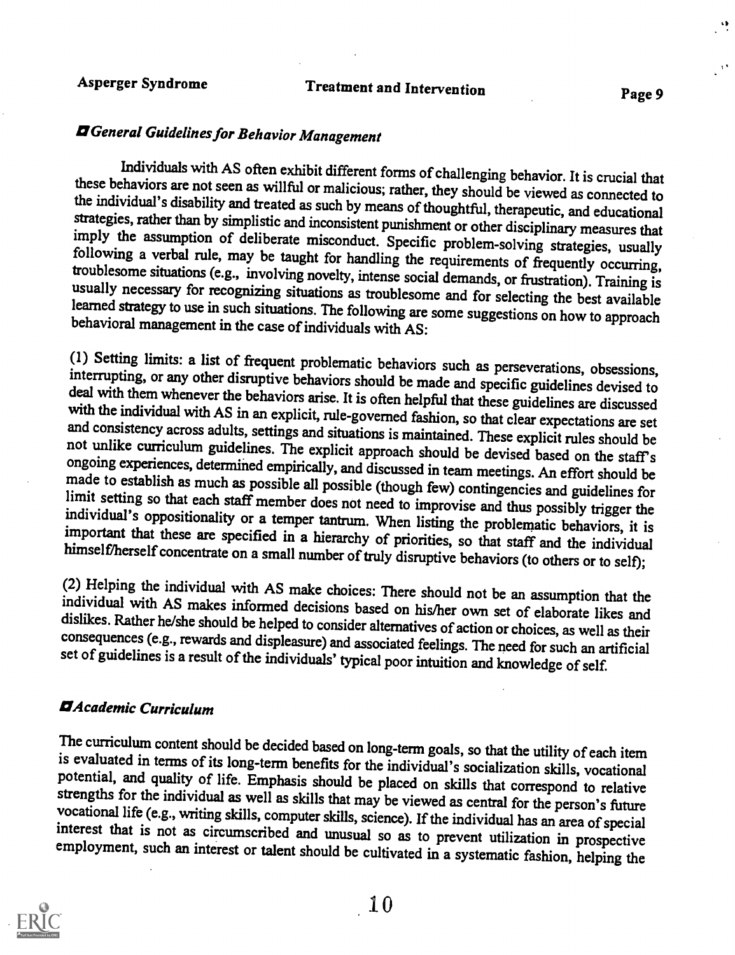# **Z** General Guidelines for Behavior Management

Individuals with AS often exhibit different forms of challenging behavior. It is crucial that<br>these behaviors are not seen as willful or malicious; rather, they should be viewed as connected to<br>the individual's disability

(1) Setting limits: a list of frequent problematic behaviors such as perseverations, obsessions, interrupting, or any other disruptive behaviors should be made and specific guidelines devised to deal with them whenever th

(2) Helping the individual with AS make choices: There should not be an assumption that the individual with AS makes informed decisions based on his/her own set of elaborate likes and dislikes. Rather he/she should be help

### OAcademic Curriculum

The curriculum content should be decided based on long-term goals, so that the utility of each item<br>is evaluated in terms of its long-term benefits for the individual's socialization skills, vocational<br>potential, and quali employment, such an interest or talent should be cultivated in a systematic fashion, helping the

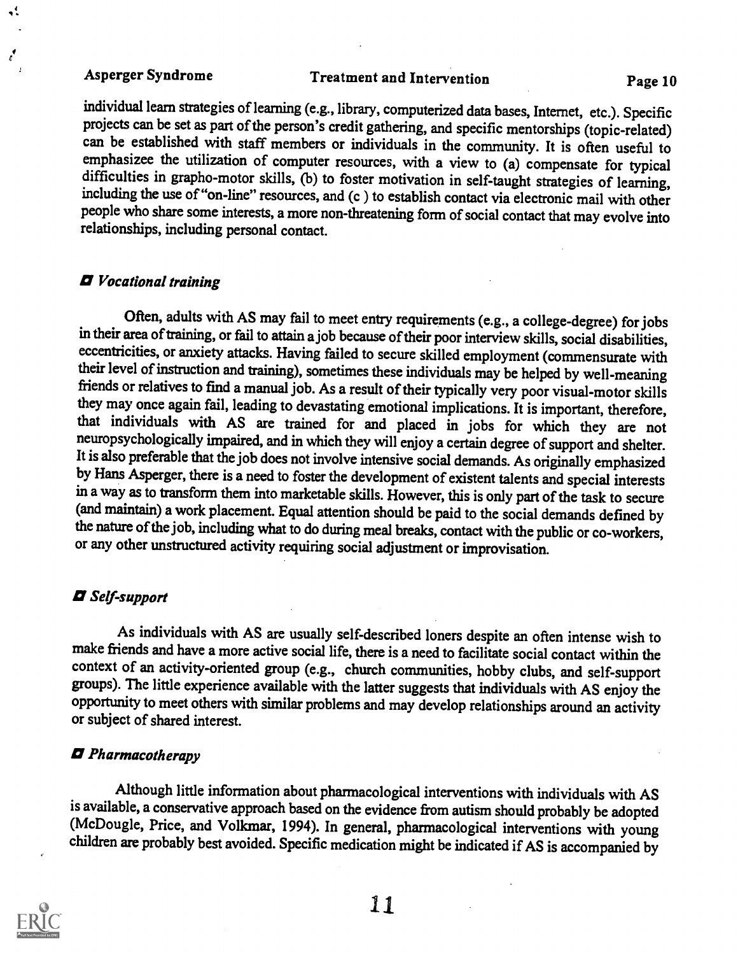t

 $\mathbf{r}^{\prime}$ 

Asperger Syndrome Treatment and Intervention Fage 10

individual learn strategies of learning (e.g., library, computerized data bases, Internet, etc.). Specific projects can be set as part of the person's credit gathering, and specific mentorships (topic-related) can be established with staff members or individuals in the community. It is often useful to emphasizee the utilization of computer resources, with a view to (a) compensate for typical difficulties in grapho-motor skills, (b) to foster motivation in self-taught strategies of learning, including the use of "on-line" resources, and (c ) to establish contact via electronic mail with other people who share some interests, a more non-threatening form of social contact that may evolve into relationships, including personal contact.

### 12 Vocational training

Often, adults with AS may fail to meet entry requirements (e.g., a college-degree) for jobs in their area of training, or fail to attain a job because of their poor interview skills, social disabilities, eccentricities, or anxiety attacks. Having failed to secure skilled employment (commensurate with their level of instruction and training), sometimes these individuals may be helped by well-meaning friends or relatives to find a manual job. As a result of their typically very poor visual-motor skills they may once again fail, leading to devastating emotional implications. It is important, therefore, that individuals with AS are trained for and placed in jobs for which they are not neuropsychologically impaired, and in which they will enjoy a certain degree of support and shelter. It is also preferable that the job does not involve intensive social demands. As originally emphasized by Hans Asperger, there is a need to foster the development of existent talents and special interests in a way as to transform them into marketable skills. However, this is only part of the task to secure (and maintain) a work placement. Equal attention should be paid to the social demands defined by the nature of the job, including what to do during meal breaks, contact with the public or co-workers, or any other unstructured activity requiring social adjustment or improvisation.

### **D** Self-support

As individuals with AS are usually self-described loners despite an often intense wish to make friends and have a more active social life, there is a need to facilitate social contact within the context of an activity-oriented group (e.g., church communities, hobby clubs, and self-support groups). The little experience available with the latter suggests that individuals with AS enjoy the opportunity to meet others with similar problems and may develop relationships around an activity or subject of shared interest.

### O Pharmacotherapy

Although little information about pharmacological interventions with individuals with AS is available, a conservative approach based on the evidence from autism should probably be adopted (McDougle, Price, and Volkmar, 1994). In general, pharmacological interventions with young children are probably best avoided. Specific medication might be indicated if AS is accompanied by

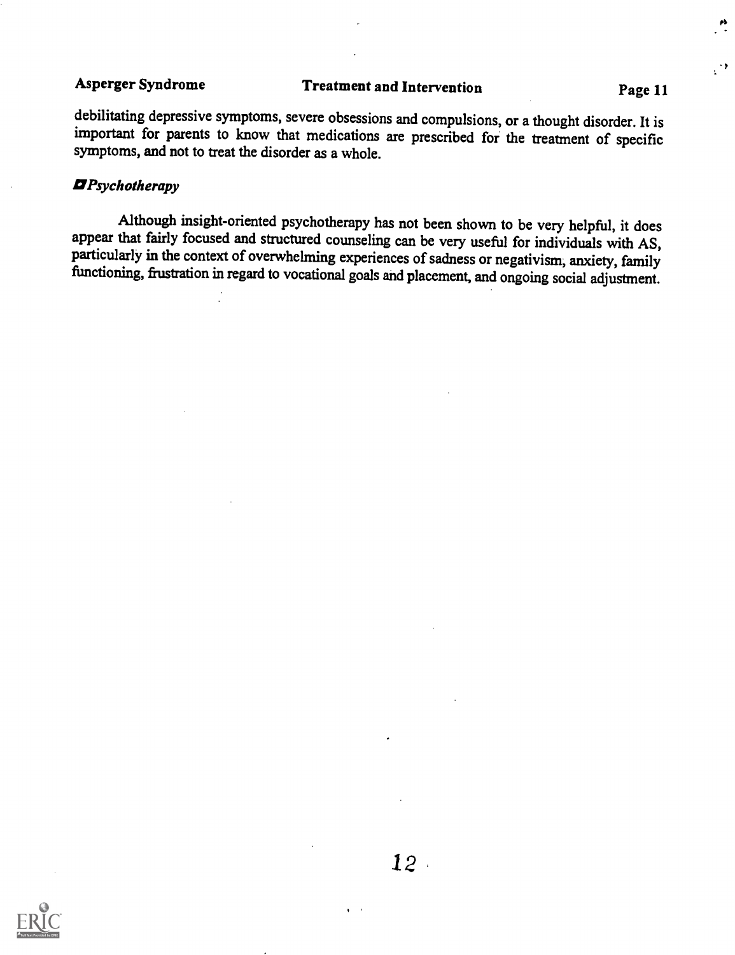$\mathcal{C}$ 

debilitating depressive symptoms, severe obsessions and compulsions, or a thought disorder. It is important for parents to know that medications are prescribed for the treatment of specific symptoms, and not to treat the disorder as a whole.

### **D**Psychotherapy

Although insight-oriented psychotherapy has not been shown to be very helpful, it does appear that fairly focused and structured counseling can be very useful for individuals with AS, particularly in the context of overwhelming experiences of sadness or negativism, anxiety, family functioning, frustration in regard to vocational goals and placement, and ongoing social adjustment.



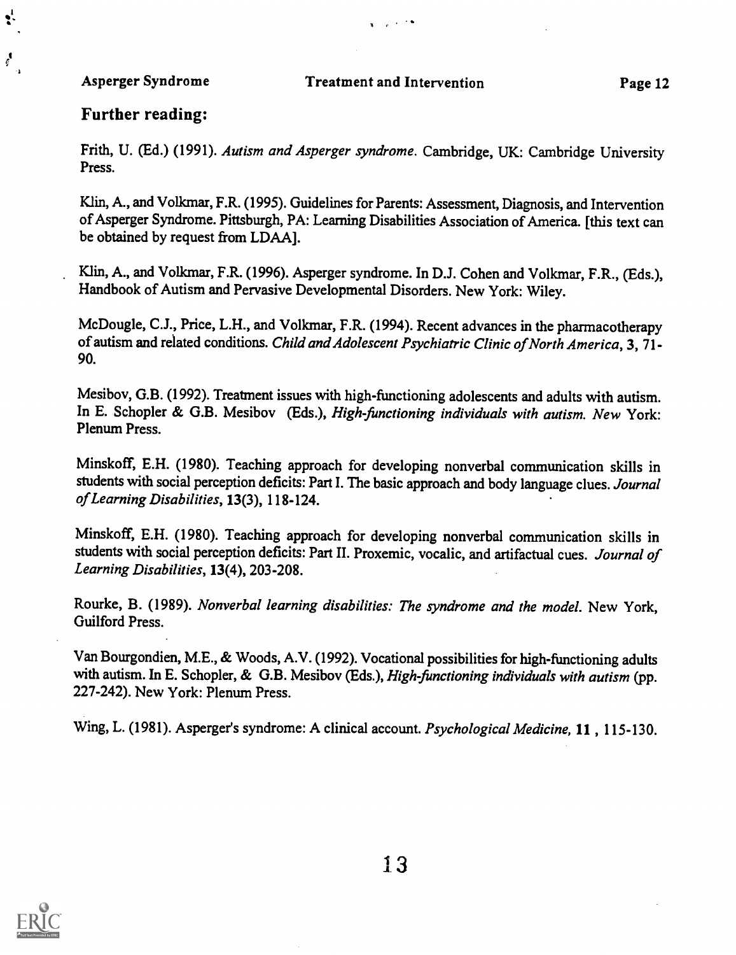$\mathbf{S}^{\mathbf{I}}$ 

ç.

 $\mathbf{v} = \mathbf{v} \times \mathbf{v}$ 

### Further reading:

Frith, U. (Ed.) (1991). Autism and Asperger syndrome. Cambridge, UK: Cambridge University Press.

Klin, A., and Volkmar, F.R. (1995). Guidelines for Parents: Assessment, Diagnosis, and Intervention of Asperger Syndrome. Pittsburgh, PA: Learning Disabilities Association of America. [this text can be obtained by request from LDAA].

Klin, A., and Volkmar, F.R. (1996). Asperger syndrome. In D.J. Cohen and Volkmar, F.R., (Eds.), Handbook of Autism and Pervasive Developmental Disorders. New York: Wiley.

McDougle, C.J., Price, L.H., and Volkmar, F.R. (1994). Recent advances in the pharmacotherapy of autism and related conditions. Child and Adolescent Psychiatric Clinic of North America, 3, 71- 90.

Mesibov, G.B. (1992). Treatment issues with high-functioning adolescents and adults with autism. In E. Schopler & G.B. Mesibov (Eds.), High-functioning individuals with autism. New York: Plenum Press.

Minskoff, E.H. (1980). Teaching approach for developing nonverbal communication skills in students with social perception deficits: Part I. The basic approach and body language clues. Journal of Learning Disabilities, 13(3), 118-124.

Minskoff, E.H. (1980). Teaching approach for developing nonverbal communication skills in students with social perception deficits: Part II. Proxemic, vocalic, and artifactual cues. Journal of Learning Disabilities, 13(4), 203-208.

Rourke, B. (1989). Nonverbal learning disabilities: The syndrome and the model. New York, Guilford Press.

Van Bourgondien, M.E., & Woods, A.V. (1992). Vocational possibilities for high-functioning adults with autism. In E. Schopler, & G.B. Mesibov (Eds.), High-functioning individuals with autism (pp. 227-242). New York: Plenum Press.

Wing, L. (1981). Asperger's syndrome: A clinical account. Psychological Medicine, 11, 115-130.

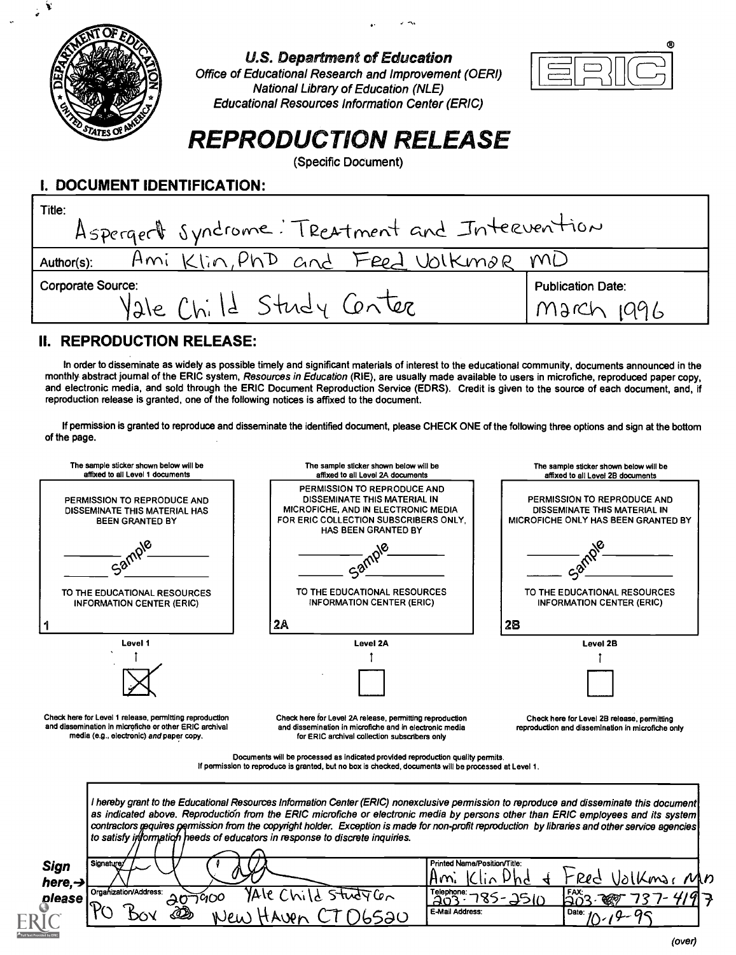

U.S. Department of Education Office of Educational Research and Improvement (OERI) National Library of Education (NLE) Educational Resources Information Center (ERIC)



# REPRODUCTION RELEASE

(Specific Document)

### I. DOCUMENT IDENTIFICATION:

| Title:<br>Aspergert syndrome: Treatment and Intervention |                          |  |
|----------------------------------------------------------|--------------------------|--|
| lin, PhD and<br>Feed Volkmar<br>Ami<br>Author(s):        | M()                      |  |
| <b>Corporate Source:</b><br>Yale Child Study Center      | <b>Publication Date:</b> |  |

## II. REPRODUCTION RELEASE:

In order to disseminate as widely as possible timely and significant materials of interest to the educational community, documents announced in the monthly abstract journal of the ERIC system, Resources in Education (RIE), are usually made available to users in microfiche, reproduced paper copy, and electronic media, and sold through the ERIC Document Reproduction Service (EDRS). Credit is given to the source of each document, and, if reproduction release is granted, one of the following notices is affixed to the document.

If permission is granted to reproduce and disseminate the identified document, please CHECK ONE of the following three options and sign at the bottom of the page.